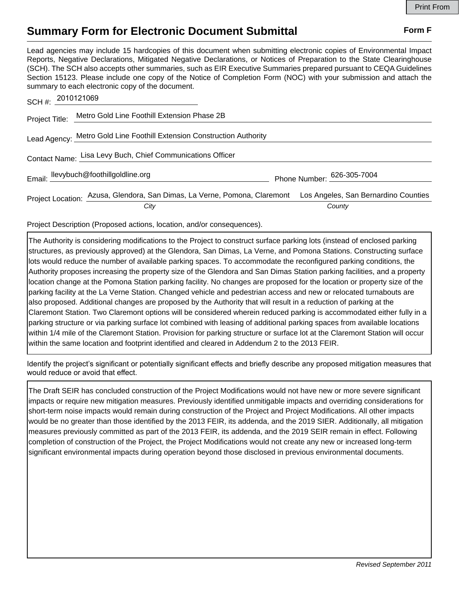## **Summary Form for Electronic Document Submittal Form F Form F**

Lead agencies may include 15 hardcopies of this document when submitting electronic copies of Environmental Impact Reports, Negative Declarations, Mitigated Negative Declarations, or Notices of Preparation to the State Clearinghouse (SCH). The SCH also accepts other summaries, such as EIR Executive Summaries prepared pursuant to CEQA Guidelines Section 15123. Please include one copy of the Notice of Completion Form (NOC) with your submission and attach the summary to each electronic copy of the document.

| SCH #: 2010121069 |                                                                                                                        |                            |
|-------------------|------------------------------------------------------------------------------------------------------------------------|----------------------------|
|                   | Project Title: Metro Gold Line Foothill Extension Phase 2B                                                             |                            |
|                   | Lead Agency: Metro Gold Line Foothill Extension Construction Authority                                                 |                            |
|                   | Contact Name: Lisa Levy Buch, Chief Communications Officer                                                             |                            |
|                   | Email: llevybuch@foothillgoldline.org                                                                                  | Phone Number: 626-305-7004 |
|                   | Project Location: Azusa, Glendora, San Dimas, La Verne, Pomona, Claremont Los Angeles, San Bernardino Counties<br>City | County                     |
|                   |                                                                                                                        |                            |

Project Description (Proposed actions, location, and/or consequences).

The Authority is considering modifications to the Project to construct surface parking lots (instead of enclosed parking structures, as previously approved) at the Glendora, San Dimas, La Verne, and Pomona Stations. Constructing surface lots would reduce the number of available parking spaces. To accommodate the reconfigured parking conditions, the Authority proposes increasing the property size of the Glendora and San Dimas Station parking facilities, and a property location change at the Pomona Station parking facility. No changes are proposed for the location or property size of the parking facility at the La Verne Station. Changed vehicle and pedestrian access and new or relocated turnabouts are also proposed. Additional changes are proposed by the Authority that will result in a reduction of parking at the Claremont Station. Two Claremont options will be considered wherein reduced parking is accommodated either fully in a parking structure or via parking surface lot combined with leasing of additional parking spaces from available locations within 1/4 mile of the Claremont Station. Provision for parking structure or surface lot at the Claremont Station will occur within the same location and footprint identified and cleared in Addendum 2 to the 2013 FEIR.

Identify the project's significant or potentially significant effects and briefly describe any proposed mitigation measures that would reduce or avoid that effect.

The Draft SEIR has concluded construction of the Project Modifications would not have new or more severe significant impacts or require new mitigation measures. Previously identified unmitigable impacts and overriding considerations for short-term noise impacts would remain during construction of the Project and Project Modifications. All other impacts would be no greater than those identified by the 2013 FEIR, its addenda, and the 2019 SIER. Additionally, all mitigation measures previously committed as part of the 2013 FEIR, its addenda, and the 2019 SEIR remain in effect. Following completion of construction of the Project, the Project Modifications would not create any new or increased long-term significant environmental impacts during operation beyond those disclosed in previous environmental documents.